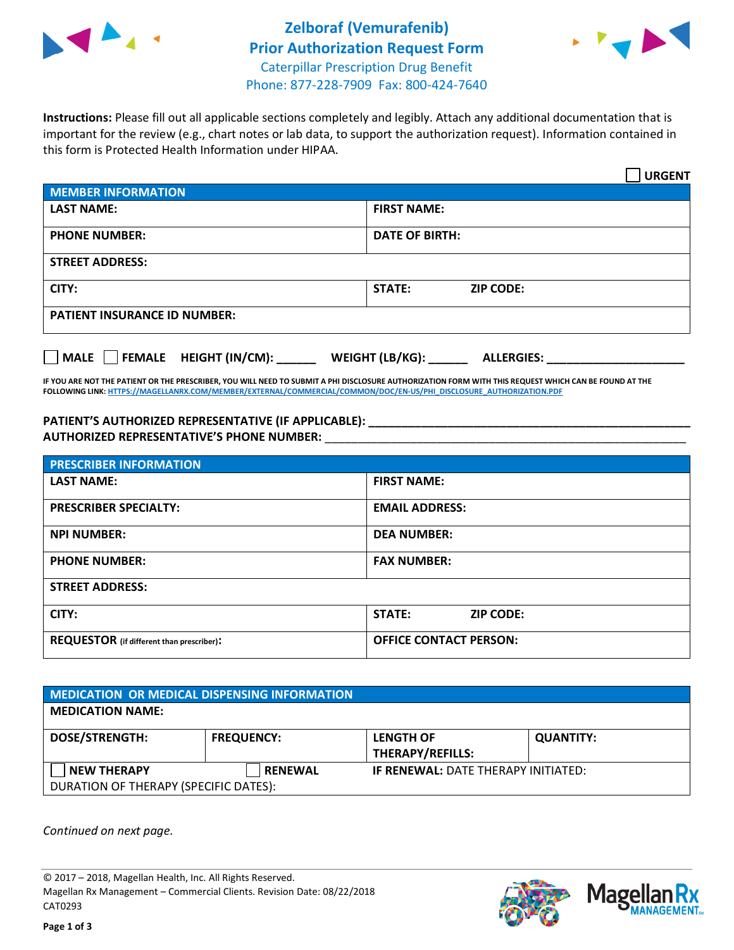



**Instructions:** Please fill out all applicable sections completely and legibly. Attach any additional documentation that is important for the review (e.g., chart notes or lab data, to support the authorization request). Information contained in this form is Protected Health Information under HIPAA.

|                                     | <b>URGENT</b>                        |  |
|-------------------------------------|--------------------------------------|--|
| <b>MEMBER INFORMATION</b>           |                                      |  |
| <b>LAST NAME:</b>                   | <b>FIRST NAME:</b>                   |  |
| <b>PHONE NUMBER:</b>                | <b>DATE OF BIRTH:</b>                |  |
| <b>STREET ADDRESS:</b>              |                                      |  |
| CITY:                               | STATE:<br><b>ZIP CODE:</b>           |  |
| <b>PATIENT INSURANCE ID NUMBER:</b> |                                      |  |
| FEMALE HEIGHT (IN/CM):<br>    MALE  | WEIGHT (LB/KG):<br><b>ALLERGIES:</b> |  |

**IF YOU ARE NOT THE PATIENT OR THE PRESCRIBER, YOU WILL NEED TO SUBMIT A PHI DISCLOSURE AUTHORIZATION FORM WITH THIS REQUEST WHICH CAN BE FOUND AT THE FOLLOWING LINK[: HTTPS://MAGELLANRX.COM/MEMBER/EXTERNAL/COMMERCIAL/COMMON/DOC/EN-US/PHI\\_DISCLOSURE\\_AUTHORIZATION.PDF](https://magellanrx.com/member/external/commercial/common/doc/en-us/PHI_Disclosure_Authorization.pdf)**

**PATIENT'S AUTHORIZED REPRESENTATIVE (IF APPLICABLE): \_\_\_\_\_\_\_\_\_\_\_\_\_\_\_\_\_\_\_\_\_\_\_\_\_\_\_\_\_\_\_\_\_\_\_\_\_\_\_\_\_\_\_\_\_\_\_\_\_ AUTHORIZED REPRESENTATIVE'S PHONE NUMBER:** \_\_\_\_\_\_\_\_\_\_\_\_\_\_\_\_\_\_\_\_\_\_\_\_\_\_\_\_\_\_\_\_\_\_\_\_\_\_\_\_\_\_\_\_\_\_\_\_\_\_\_\_\_\_\_

| <b>PRESCRIBER INFORMATION</b>             |                               |  |  |
|-------------------------------------------|-------------------------------|--|--|
| <b>LAST NAME:</b>                         | <b>FIRST NAME:</b>            |  |  |
| <b>PRESCRIBER SPECIALTY:</b>              | <b>EMAIL ADDRESS:</b>         |  |  |
| <b>NPI NUMBER:</b>                        | <b>DEA NUMBER:</b>            |  |  |
| <b>PHONE NUMBER:</b>                      | <b>FAX NUMBER:</b>            |  |  |
| <b>STREET ADDRESS:</b>                    |                               |  |  |
| CITY:                                     | STATE:<br><b>ZIP CODE:</b>    |  |  |
| REQUESTOR (if different than prescriber): | <b>OFFICE CONTACT PERSON:</b> |  |  |

| <b>MEDICATION OR MEDICAL DISPENSING INFORMATION</b> |                   |                                            |                  |  |
|-----------------------------------------------------|-------------------|--------------------------------------------|------------------|--|
| <b>MEDICATION NAME:</b>                             |                   |                                            |                  |  |
| <b>DOSE/STRENGTH:</b>                               | <b>FREQUENCY:</b> | <b>LENGTH OF</b>                           | <b>QUANTITY:</b> |  |
|                                                     |                   | <b>THERAPY/REFILLS:</b>                    |                  |  |
| <b>NEW THERAPY</b>                                  | <b>RENEWAL</b>    | <b>IF RENEWAL: DATE THERAPY INITIATED:</b> |                  |  |
| DURATION OF THERAPY (SPECIFIC DATES):               |                   |                                            |                  |  |

*Continued on next page.*

© 2017 – 2018, Magellan Health, Inc. All Rights Reserved. Magellan Rx Management – Commercial Clients. Revision Date: 08/22/2018 CAT0293



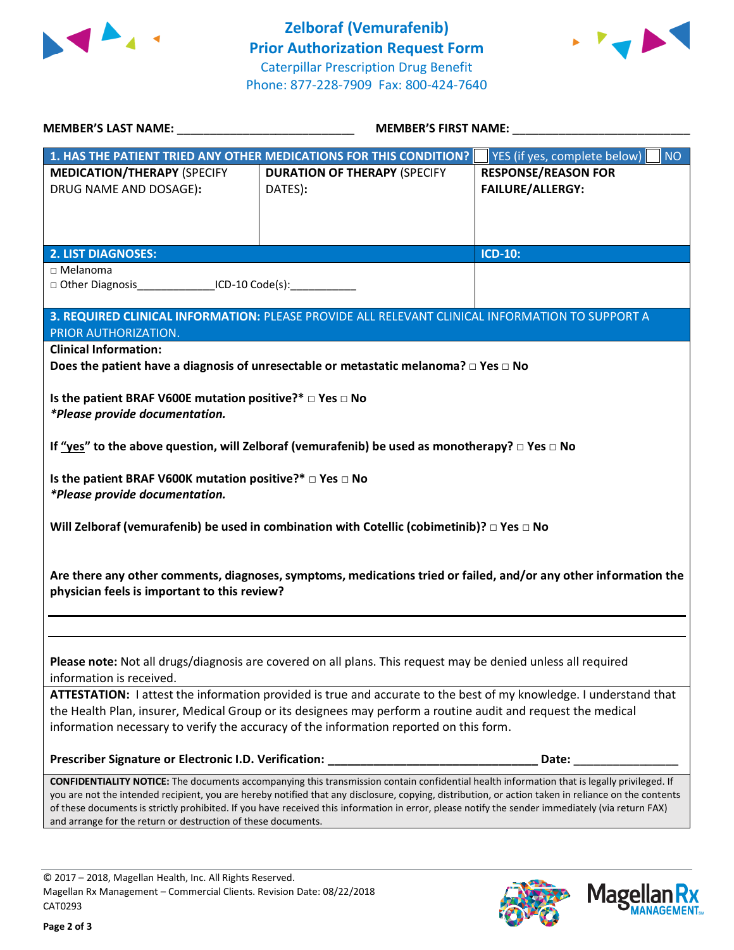



|                                                                                 | <b>MEMBER'S FIRST NAME:</b>                                                                                                                         |                                           |  |  |
|---------------------------------------------------------------------------------|-----------------------------------------------------------------------------------------------------------------------------------------------------|-------------------------------------------|--|--|
|                                                                                 | 1. HAS THE PATIENT TRIED ANY OTHER MEDICATIONS FOR THIS CONDITION?                                                                                  | <b>NO</b><br>YES (if yes, complete below) |  |  |
| <b>MEDICATION/THERAPY (SPECIFY</b>                                              | <b>DURATION OF THERAPY (SPECIFY</b>                                                                                                                 | <b>RESPONSE/REASON FOR</b>                |  |  |
| DRUG NAME AND DOSAGE):                                                          | DATES):                                                                                                                                             | <b>FAILURE/ALLERGY:</b>                   |  |  |
|                                                                                 |                                                                                                                                                     |                                           |  |  |
|                                                                                 |                                                                                                                                                     |                                           |  |  |
| <b>2. LIST DIAGNOSES:</b>                                                       |                                                                                                                                                     | <b>ICD-10:</b>                            |  |  |
| $\sqcap$ Melanoma                                                               |                                                                                                                                                     |                                           |  |  |
| □ Other Diagnosis ____________________ICD-10 Code(s): _________________________ |                                                                                                                                                     |                                           |  |  |
|                                                                                 | 3. REQUIRED CLINICAL INFORMATION: PLEASE PROVIDE ALL RELEVANT CLINICAL INFORMATION TO SUPPORT A                                                     |                                           |  |  |
| PRIOR AUTHORIZATION.                                                            |                                                                                                                                                     |                                           |  |  |
| <b>Clinical Information:</b>                                                    |                                                                                                                                                     |                                           |  |  |
|                                                                                 | Does the patient have a diagnosis of unresectable or metastatic melanoma? $\square$ Yes $\square$ No                                                |                                           |  |  |
|                                                                                 |                                                                                                                                                     |                                           |  |  |
| Is the patient BRAF V600E mutation positive?* □ Yes □ No                        |                                                                                                                                                     |                                           |  |  |
| *Please provide documentation.                                                  |                                                                                                                                                     |                                           |  |  |
|                                                                                 | If "yes" to the above question, will Zelboraf (vemurafenib) be used as monotherapy? □ Yes □ No                                                      |                                           |  |  |
|                                                                                 |                                                                                                                                                     |                                           |  |  |
| Is the patient BRAF V600K mutation positive?* □ Yes □ No                        |                                                                                                                                                     |                                           |  |  |
| *Please provide documentation.                                                  |                                                                                                                                                     |                                           |  |  |
|                                                                                 |                                                                                                                                                     |                                           |  |  |
|                                                                                 | Will Zelboraf (vemurafenib) be used in combination with Cotellic (cobimetinib)? $\Box$ Yes $\Box$ No                                                |                                           |  |  |
|                                                                                 |                                                                                                                                                     |                                           |  |  |
|                                                                                 | Are there any other comments, diagnoses, symptoms, medications tried or failed, and/or any other information the                                    |                                           |  |  |
| physician feels is important to this review?                                    |                                                                                                                                                     |                                           |  |  |
|                                                                                 |                                                                                                                                                     |                                           |  |  |
|                                                                                 |                                                                                                                                                     |                                           |  |  |
|                                                                                 | Please note: Not all drugs/diagnosis are covered on all plans. This request may be denied unless all required                                       |                                           |  |  |
| information is received.                                                        |                                                                                                                                                     |                                           |  |  |
|                                                                                 | ATTESTATION: I attest the information provided is true and accurate to the best of my knowledge. I understand that                                  |                                           |  |  |
|                                                                                 | the Health Plan, insurer, Medical Group or its designees may perform a routine audit and request the medical                                        |                                           |  |  |
|                                                                                 | information necessary to verify the accuracy of the information reported on this form.                                                              |                                           |  |  |
|                                                                                 |                                                                                                                                                     |                                           |  |  |
|                                                                                 | CONFIDENTIALITY NOTICE: The documents accompanying this transmission contain confidential health information that is legally privileged. If         |                                           |  |  |
|                                                                                 | you are not the intended recipient, you are hereby notified that any disclosure, copying, distribution, or action taken in reliance on the contents |                                           |  |  |
| and arrange for the return or destruction of these documents.                   | of these documents is strictly prohibited. If you have received this information in error, please notify the sender immediately (via return FAX)    |                                           |  |  |
|                                                                                 |                                                                                                                                                     |                                           |  |  |